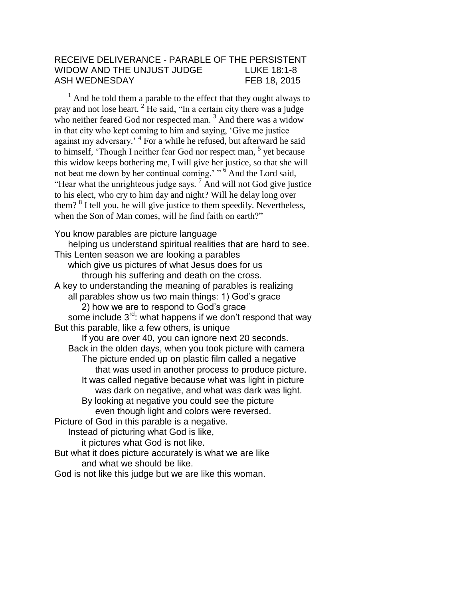## RECEIVE DELIVERANCE - PARABLE OF THE PERSISTENT WIDOW AND THE UNJUST JUDGE LUKE 18:1-8 ASH WEDNESDAY FEB 18, 2015

 $<sup>1</sup>$  And he told them a parable to the effect that they ought always to</sup> pray and not lose heart.  $2$  He said, "In a certain city there was a judge who neither feared God nor respected man.<sup>3</sup> And there was a widow in that city who kept coming to him and saying, 'Give me justice against my adversary.<sup>4</sup> For a while he refused, but afterward he said to himself, 'Though I neither fear God nor respect man, <sup>5</sup> yet because this widow keeps bothering me, I will give her justice, so that she will not beat me down by her continual coming.' " <sup>6</sup> And the Lord said, "Hear what the unrighteous judge says. <sup>7</sup> And will not God give justice to his elect, who cry to him day and night? Will he delay long over them? <sup>8</sup> I tell you, he will give justice to them speedily. Nevertheless, when the Son of Man comes, will he find faith on earth?"

You know parables are picture language

helping us understand spiritual realities that are hard to see. This Lenten season we are looking a parables

which give us pictures of what Jesus does for us through his suffering and death on the cross.

A key to understanding the meaning of parables is realizing all parables show us two main things: 1) God's grace

2) how we are to respond to God's grace

some include 3<sup>rd</sup>: what happens if we don't respond that way But this parable, like a few others, is unique

If you are over 40, you can ignore next 20 seconds. Back in the olden days, when you took picture with camera The picture ended up on plastic film called a negative

that was used in another process to produce picture. It was called negative because what was light in picture

was dark on negative, and what was dark was light. By looking at negative you could see the picture

even though light and colors were reversed.

Picture of God in this parable is a negative. Instead of picturing what God is like,

it pictures what God is not like.

But what it does picture accurately is what we are like and what we should be like.

God is not like this judge but we are like this woman.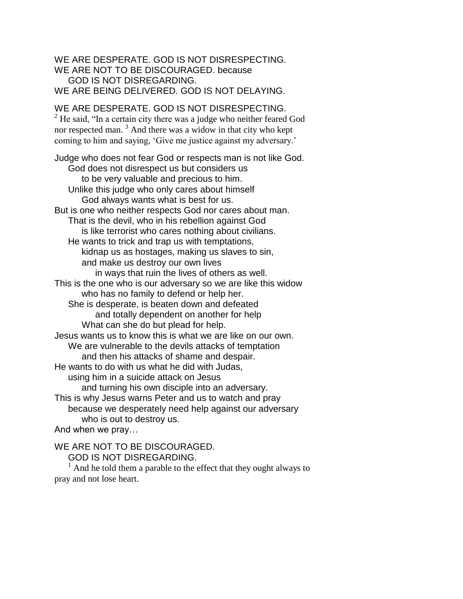### WE ARE DESPERATE. GOD IS NOT DISRESPECTING. WE ARE NOT TO BE DISCOURAGED. because GOD IS NOT DISREGARDING. WE ARE BEING DELIVERED. GOD IS NOT DELAYING.

# WE ARE DESPERATE. GOD IS NOT DISRESPECTING.

 $2$  He said, "In a certain city there was a judge who neither feared God nor respected man. <sup>3</sup> And there was a widow in that city who kept coming to him and saying, 'Give me justice against my adversary.'

Judge who does not fear God or respects man is not like God. God does not disrespect us but considers us to be very valuable and precious to him. Unlike this judge who only cares about himself God always wants what is best for us. But is one who neither respects God nor cares about man. That is the devil, who in his rebellion against God is like terrorist who cares nothing about civilians. He wants to trick and trap us with temptations, kidnap us as hostages, making us slaves to sin, and make us destroy our own lives in ways that ruin the lives of others as well. This is the one who is our adversary so we are like this widow who has no family to defend or help her. She is desperate, is beaten down and defeated and totally dependent on another for help What can she do but plead for help. Jesus wants us to know this is what we are like on our own. We are vulnerable to the devils attacks of temptation and then his attacks of shame and despair. He wants to do with us what he did with Judas, using him in a suicide attack on Jesus and turning his own disciple into an adversary. This is why Jesus warns Peter and us to watch and pray because we desperately need help against our adversary who is out to destroy us. And when we pray…

WE ARE NOT TO BE DISCOURAGED.

GOD IS NOT DISREGARDING.

 $<sup>1</sup>$  And he told them a parable to the effect that they ought always to</sup> pray and not lose heart.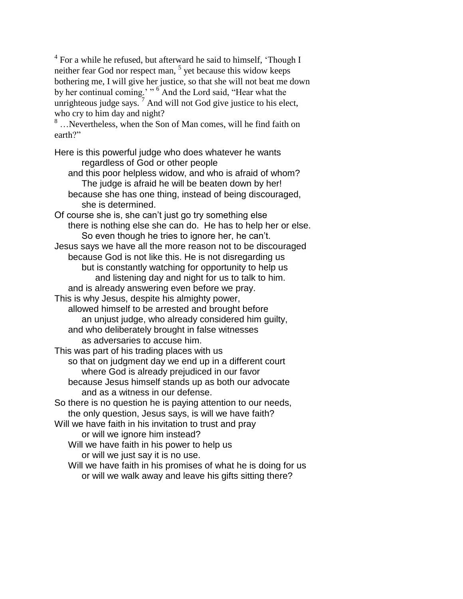<sup>4</sup> For a while he refused, but afterward he said to himself, 'Though I neither fear God nor respect man,  $<sup>5</sup>$  yet because this widow keeps</sup> bothering me, I will give her justice, so that she will not beat me down by her continual coming.' "<sup>6</sup> And the Lord said, "Hear what the unrighteous judge says.  $\frac{7}{7}$  And will not God give justice to his elect, who cry to him day and night?

<sup>8</sup> …Nevertheless, when the Son of Man comes, will he find faith on earth?"

Here is this powerful judge who does whatever he wants regardless of God or other people

and this poor helpless widow, and who is afraid of whom? The judge is afraid he will be beaten down by her! because she has one thing, instead of being discouraged, she is determined.

Of course she is, she can't just go try something else there is nothing else she can do. He has to help her or else. So even though he tries to ignore her, he can't. Jesus says we have all the more reason not to be discouraged because God is not like this. He is not disregarding us but is constantly watching for opportunity to help us and listening day and night for us to talk to him. and is already answering even before we pray. This is why Jesus, despite his almighty power, allowed himself to be arrested and brought before

an unjust judge, who already considered him guilty, and who deliberately brought in false witnesses as adversaries to accuse him.

This was part of his trading places with us

so that on judgment day we end up in a different court where God is already prejudiced in our favor because Jesus himself stands up as both our advocate

and as a witness in our defense.

So there is no question he is paying attention to our needs, the only question, Jesus says, is will we have faith?

Will we have faith in his invitation to trust and pray

or will we ignore him instead?

Will we have faith in his power to help us

or will we just say it is no use. Will we have faith in his promises of what he is doing for us

or will we walk away and leave his gifts sitting there?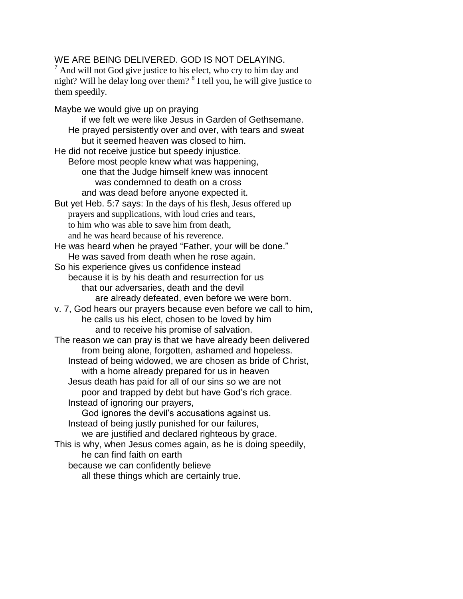## WE ARE BEING DELIVERED. GOD IS NOT DELAYING.

 $<sup>7</sup>$  And will not God give justice to his elect, who cry to him day and</sup> night? Will he delay long over them? <sup>8</sup> I tell you, he will give justice to them speedily.

Maybe we would give up on praying if we felt we were like Jesus in Garden of Gethsemane. He prayed persistently over and over, with tears and sweat but it seemed heaven was closed to him. He did not receive justice but speedy injustice. Before most people knew what was happening, one that the Judge himself knew was innocent was condemned to death on a cross and was dead before anyone expected it. But yet Heb. 5:7 says: In the days of his flesh, Jesus offered up prayers and supplications, with loud cries and tears, to him who was able to save him from death, and he was heard because of his reverence. He was heard when he prayed "Father, your will be done." He was saved from death when he rose again. So his experience gives us confidence instead because it is by his death and resurrection for us that our adversaries, death and the devil are already defeated, even before we were born. v. 7, God hears our prayers because even before we call to him, he calls us his elect, chosen to be loved by him and to receive his promise of salvation. The reason we can pray is that we have already been delivered from being alone, forgotten, ashamed and hopeless. Instead of being widowed, we are chosen as bride of Christ, with a home already prepared for us in heaven Jesus death has paid for all of our sins so we are not poor and trapped by debt but have God's rich grace. Instead of ignoring our prayers, God ignores the devil's accusations against us. Instead of being justly punished for our failures, we are justified and declared righteous by grace. This is why, when Jesus comes again, as he is doing speedily, he can find faith on earth because we can confidently believe all these things which are certainly true.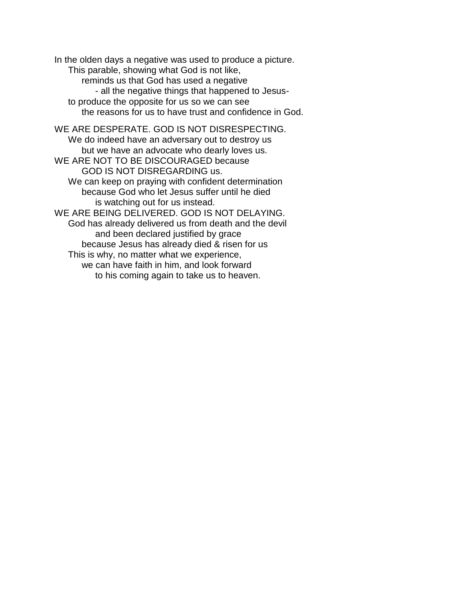In the olden days a negative was used to produce a picture. This parable, showing what God is not like, reminds us that God has used a negative - all the negative things that happened to Jesusto produce the opposite for us so we can see the reasons for us to have trust and confidence in God. WE ARE DESPERATE. GOD IS NOT DISRESPECTING. We do indeed have an adversary out to destroy us but we have an advocate who dearly loves us. WE ARE NOT TO BE DISCOURAGED because GOD IS NOT DISREGARDING us. We can keep on praying with confident determination because God who let Jesus suffer until he died is watching out for us instead. WE ARE BEING DELIVERED. GOD IS NOT DELAYING. God has already delivered us from death and the devil and been declared justified by grace because Jesus has already died & risen for us This is why, no matter what we experience, we can have faith in him, and look forward to his coming again to take us to heaven.